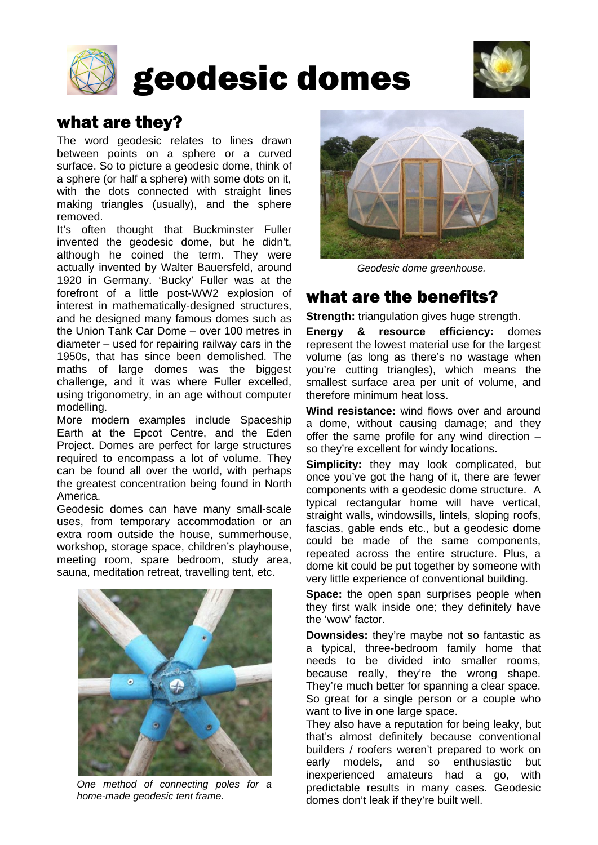

# geodesic domes



## what are they?

The word geodesic relates to lines drawn between points on a sphere or a curved surface. So to picture a geodesic dome, think of a sphere (or half a sphere) with some dots on it, with the dots connected with straight lines making triangles (usually), and the sphere removed.

It's often thought that Buckminster Fuller invented the geodesic dome, but he didn't, although he coined the term. They were actually invented by Walter Bauersfeld, around 1920 in Germany. 'Bucky' Fuller was at the forefront of a little post-WW2 explosion of interest in mathematically-designed structures, and he designed many famous domes such as the Union Tank Car Dome – over 100 metres in diameter – used for repairing railway cars in the 1950s, that has since been demolished. The maths of large domes was the biggest challenge, and it was where Fuller excelled, using trigonometry, in an age without computer modelling.

More modern examples include Spaceship Earth at the Epcot Centre, and the Eden Project. Domes are perfect for large structures required to encompass a lot of volume. They can be found all over the world, with perhaps the greatest concentration being found in North America.

Geodesic domes can have many small-scale uses, from temporary accommodation or an extra room outside the house, summerhouse, workshop, storage space, children's playhouse, meeting room, spare bedroom, study area, sauna, meditation retreat, travelling tent, etc.



*One method of connecting poles for a home-made geodesic tent frame.*



*Geodesic dome greenhouse.*

# what are the benefits?

**Strength:** triangulation gives huge strength.

**Energy & resource efficiency:** domes represent the lowest material use for the largest volume (as long as there's no wastage when you're cutting triangles), which means the smallest surface area per unit of volume, and therefore minimum heat loss.

**Wind resistance:** wind flows over and around a dome, without causing damage; and they offer the same profile for any wind direction – so they're excellent for windy locations.

**Simplicity:** they may look complicated, but once you've got the hang of it, there are fewer components with a geodesic dome structure. A typical rectangular home will have vertical, straight walls, windowsills, lintels, sloping roofs, fascias, gable ends etc., but a geodesic dome could be made of the same components, repeated across the entire structure. Plus, a dome kit could be put together by someone with very little experience of conventional building.

**Space:** the open span surprises people when they first walk inside one; they definitely have the 'wow' factor.

**Downsides:** they're maybe not so fantastic as a typical, three-bedroom family home that needs to be divided into smaller rooms, because really, they're the wrong shape. They're much better for spanning a clear space. So great for a single person or a couple who want to live in one large space.

They also have a reputation for being leaky, but that's almost definitely because conventional builders / roofers weren't prepared to work on early models, and so enthusiastic but inexperienced amateurs had a go, with predictable results in many cases. Geodesic domes don't leak if they're built well.